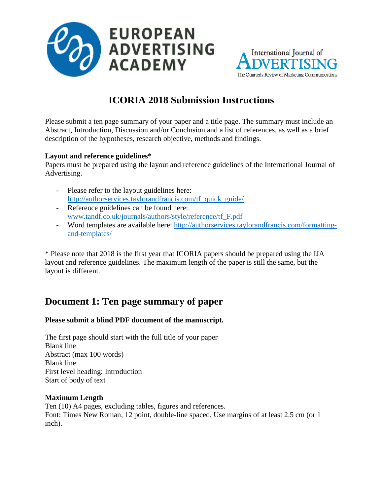



# **ICORIA 2018 Submission Instructions**

Please submit a ten page summary of your paper and a title page. The summary must include an Abstract, Introduction, Discussion and/or Conclusion and a list of references, as well as a brief description of the hypotheses, research objective, methods and findings.

#### **Layout and reference guidelines\***

Papers must be prepared using the layout and reference guidelines of the International Journal of Advertising.

- Please refer to the layout guidelines here: http://authorservices.taylorandfrancis.com/tf\_quick\_guide/
- Reference guidelines can be found here: [www.tandf.co.uk/journals/authors/style/reference/tf\\_F.pdf](http://www.tandf.co.uk/journals/authors/style/reference/tf_F.pdf)
- Word templates are available here: [http://authorservices.taylorandfrancis.com/formatting](http://authorservices.taylorandfrancis.com/formatting-and-templates/)[and-templates/](http://authorservices.taylorandfrancis.com/formatting-and-templates/)

\* Please note that 2018 is the first year that ICORIA papers should be prepared using the IJA layout and reference guidelines. The maximum length of the paper is still the same, but the layout is different.

## **Document 1: Ten page summary of paper**

#### **Please submit a blind PDF document of the manuscript.**

The first page should start with the full title of your paper Blank line Abstract (max 100 words) Blank line First level heading: Introduction Start of body of text

#### **Maximum Length**

Ten (10) A4 pages, excluding tables, figures and references. Font: Times New Roman, 12 point, double-line spaced. Use margins of at least 2.5 cm (or 1 inch).